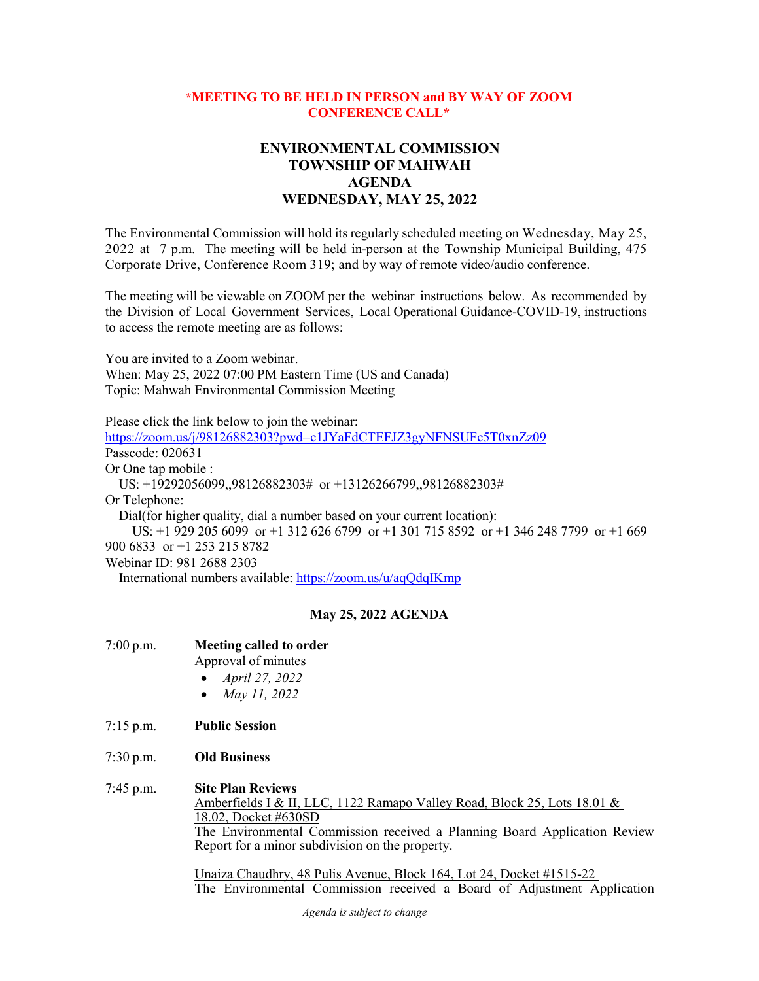## **\*MEETING TO BE HELD IN PERSON and BY WAY OF ZOOM CONFERENCE CALL\***

## **ENVIRONMENTAL COMMISSION TOWNSHIP OF MAHWAH AGENDA WEDNESDAY, MAY 25, 2022**

The Environmental Commission will hold its regularly scheduled meeting on Wednesday, May 25, 2022 at 7 p.m. The meeting will be held in-person at the Township Municipal Building, 475 Corporate Drive, Conference Room 319; and by way of remote video/audio conference.

The meeting will be viewable on ZOOM per the webinar instructions below. As recommended by the Division of Local Government Services, Local Operational Guidance-COVID-19, instructions to access the remote meeting are as follows:

You are invited to a Zoom webinar. When: May 25, 2022 07:00 PM Eastern Time (US and Canada) Topic: Mahwah Environmental Commission Meeting

Please click the link below to join the webinar:

<https://zoom.us/j/98126882303?pwd=c1JYaFdCTEFJZ3gyNFNSUFc5T0xnZz09> Passcode: 020631 Or One tap mobile : US: +19292056099,,98126882303# or +13126266799,,98126882303# Or Telephone: Dial(for higher quality, dial a number based on your current location): US: +1 929 205 6099 or +1 312 626 6799 or +1 301 715 8592 or +1 346 248 7799 or +1 669 900 6833 or +1 253 215 8782 Webinar ID: 981 2688 2303

International numbers available:<https://zoom.us/u/aqQdqIKmp>

## **May 25, 2022 AGENDA**

| $7:00$ p.m. | <b>Meeting called to order</b> |  |
|-------------|--------------------------------|--|
|             |                                |  |

- Approval of minutes
- *April 27, 2022*
- *May 11, 2022*
- 7:15 p.m. **Public Session**
- 7:30 p.m. **Old Business**

## 7:45 p.m. **Site Plan Reviews**

Amberfields I & II, LLC, 1122 Ramapo Valley Road, Block 25, Lots 18.01 & 18.02, Docket #630SD The Environmental Commission received a Planning Board Application Review Report for a minor subdivision on the property.

Unaiza Chaudhry, 48 Pulis Avenue, Block 164, Lot 24, Docket #1515-22 The Environmental Commission received a Board of Adjustment Application